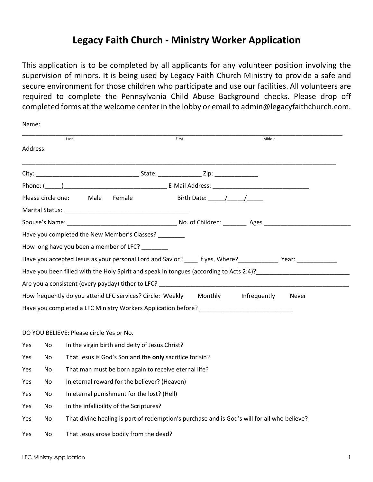# **Legacy Faith Church - Ministry Worker Application**

This application is to be completed by all applicants for any volunteer position involving the supervision of minors. It is being used by Legacy Faith Church Ministry to provide a safe and secure environment for those children who participate and use our facilities. All volunteers are required to complete the Pennsylvania Child Abuse Background checks. Please drop off completed forms at the welcome center in the lobby or email to admin@legacyfaithchurch.com.

| Name:    |                    |                                                                                                                |       |              |  |  |
|----------|--------------------|----------------------------------------------------------------------------------------------------------------|-------|--------------|--|--|
|          |                    | Last                                                                                                           | First | Middle       |  |  |
| Address: |                    |                                                                                                                |       |              |  |  |
|          |                    |                                                                                                                |       |              |  |  |
|          |                    |                                                                                                                |       |              |  |  |
|          | Please circle one: | Male<br>Female                                                                                                 |       |              |  |  |
|          |                    |                                                                                                                |       |              |  |  |
|          |                    |                                                                                                                |       |              |  |  |
|          |                    | Have you completed the New Member's Classes?                                                                   |       |              |  |  |
|          |                    | How long have you been a member of LFC?                                                                        |       |              |  |  |
|          |                    | Have you accepted Jesus as your personal Lord and Savior? _____ If yes, Where? ______________ Year: __________ |       |              |  |  |
|          |                    | Have you been filled with the Holy Spirit and speak in tongues (according to Acts 2:4)?                        |       |              |  |  |
|          |                    | Are you a consistent (every payday) tither to LFC? And the state of the state of the state of the state of the |       |              |  |  |
|          |                    | How frequently do you attend LFC services? Circle: Weekly Monthly Infrequently                                 |       | <b>Never</b> |  |  |
|          |                    | Have you completed a LFC Ministry Workers Application before?                                                  |       |              |  |  |
|          |                    |                                                                                                                |       |              |  |  |
|          |                    | DO YOU BELIEVE: Please circle Yes or No.                                                                       |       |              |  |  |
| Yes      | No.                | In the virgin birth and deity of Jesus Christ?                                                                 |       |              |  |  |
| Yes      | No.                | That Jesus is God's Son and the only sacrifice for sin?                                                        |       |              |  |  |
| Yes      | No.                | That man must be born again to receive eternal life?                                                           |       |              |  |  |
| Yes      | No.                | In eternal reward for the believer? (Heaven)                                                                   |       |              |  |  |
| Yes      | No.                | In eternal punishment for the lost? (Hell)                                                                     |       |              |  |  |
| Yes      | No.                | In the infallibility of the Scriptures?                                                                        |       |              |  |  |
| Yes      | No                 | That divine healing is part of redemption's purchase and is God's will for all who believe?                    |       |              |  |  |

Yes No That Jesus arose bodily from the dead?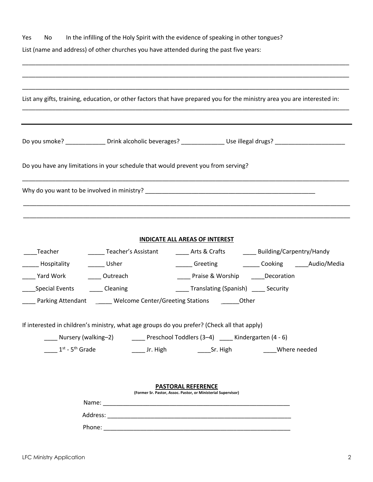| Yes<br>No         |                                                | In the infilling of the Holy Spirit with the evidence of speaking in other tongues?<br>List (name and address) of other churches you have attended during the past five years: |
|-------------------|------------------------------------------------|--------------------------------------------------------------------------------------------------------------------------------------------------------------------------------|
|                   |                                                |                                                                                                                                                                                |
|                   |                                                | List any gifts, training, education, or other factors that have prepared you for the ministry area you are interested in:                                                      |
|                   |                                                | Do you smoke? _______________ Drink alcoholic beverages? _______________________ Use illegal drugs? ___________________________________                                        |
|                   |                                                | Do you have any limitations in your schedule that would prevent you from serving?                                                                                              |
|                   |                                                |                                                                                                                                                                                |
|                   |                                                |                                                                                                                                                                                |
|                   |                                                | <b>INDICATE ALL AREAS OF INTEREST</b>                                                                                                                                          |
| Teacher           |                                                | ______ Teacher's Assistant ________ Arts & Crafts ________ Building/Carpentry/Handy                                                                                            |
| Hospitality       | Usher                                          | ______ Greeting _________ Cooking ______Audio/Media                                                                                                                            |
| Yard Work         | _____ Outreach                                 | ____ Praise & Worship _____Decoration                                                                                                                                          |
| Special Events    | Cleaning                                       | ____Translating (Spanish) _____ Security                                                                                                                                       |
| Parking Attendant | ______ Welcome Center/Greeting Stations ______ | Other                                                                                                                                                                          |
|                   |                                                | If interested in children's ministry, what age groups do you prefer? (Check all that apply)                                                                                    |
|                   |                                                | ____ Nursery (walking-2) ________ Preschool Toddlers (3-4) _____ Kindergarten (4 - 6)                                                                                          |
|                   |                                                | 1 <sup>st</sup> - 5 <sup>th</sup> Grade <b>11.1</b> Jr. High <b>12.1</b> Sr. High <b>12.1</b> Sr. High <b>12.1</b> Where needed                                                |
|                   |                                                | <b>PASTORAL REFERENCE</b>                                                                                                                                                      |
|                   |                                                | (Former Sr. Pastor, Assoc. Pastor, or Ministerial Supervisor)                                                                                                                  |
|                   |                                                |                                                                                                                                                                                |
|                   |                                                |                                                                                                                                                                                |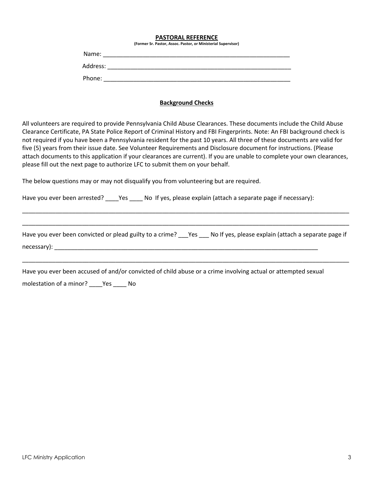#### **PASTORAL REFERENCE**

**(Former Sr. Pastor, Assoc. Pastor, or Ministerial Supervisor)**

| Name:    |  |  |
|----------|--|--|
| Address: |  |  |
| Phone:   |  |  |

### **Background Checks**

All volunteers are required to provide Pennsylvania Child Abuse Clearances. These documents include the Child Abuse Clearance Certificate, PA State Police Report of Criminal History and FBI Fingerprints. Note: An FBI background check is not required if you have been a Pennsylvania resident for the past 10 years. All three of these documents are valid for five (5) years from their issue date. See Volunteer Requirements and Disclosure document for instructions. (Please attach documents to this application if your clearances are current). If you are unable to complete your own clearances, please fill out the next page to authorize LFC to submit them on your behalf.

The below questions may or may not disqualify you from volunteering but are required.

Have you ever been arrested? \_\_\_\_\_Yes \_\_\_\_\_ No If yes, please explain (attach a separate page if necessary):

Have you ever been convicted or plead guilty to a crime? \_\_\_Yes \_\_\_ No If yes, please explain (attach a separate page if necessary): \_\_\_\_\_\_\_\_\_\_\_\_\_\_\_\_\_\_\_\_\_\_\_\_\_\_\_\_\_\_\_\_\_\_\_\_\_\_\_\_\_\_\_\_\_\_\_\_\_\_\_\_\_\_\_\_\_\_\_\_\_\_\_\_\_\_\_\_\_\_\_\_\_\_\_\_\_\_\_

\_\_\_\_\_\_\_\_\_\_\_\_\_\_\_\_\_\_\_\_\_\_\_\_\_\_\_\_\_\_\_\_\_\_\_\_\_\_\_\_\_\_\_\_\_\_\_\_\_\_\_\_\_\_\_\_\_\_\_\_\_\_\_\_\_\_\_\_\_\_\_\_\_\_\_\_\_\_\_\_\_\_\_\_\_\_\_\_\_\_\_\_\_\_\_\_\_\_

\_\_\_\_\_\_\_\_\_\_\_\_\_\_\_\_\_\_\_\_\_\_\_\_\_\_\_\_\_\_\_\_\_\_\_\_\_\_\_\_\_\_\_\_\_\_\_\_\_\_\_\_\_\_\_\_\_\_\_\_\_\_\_\_\_\_\_\_\_\_\_\_\_\_\_\_\_\_\_\_\_\_\_\_\_\_\_\_\_\_\_\_\_\_\_\_\_\_

\_\_\_\_\_\_\_\_\_\_\_\_\_\_\_\_\_\_\_\_\_\_\_\_\_\_\_\_\_\_\_\_\_\_\_\_\_\_\_\_\_\_\_\_\_\_\_\_\_\_\_\_\_\_\_\_\_\_\_\_\_\_\_\_\_\_\_\_\_\_\_\_\_\_\_\_\_\_\_\_\_\_\_\_\_\_\_\_\_\_\_\_\_\_\_\_\_\_

Have you ever been accused of and/or convicted of child abuse or a crime involving actual or attempted sexual

molestation of a minor? \_\_\_\_Yes \_\_\_\_ No